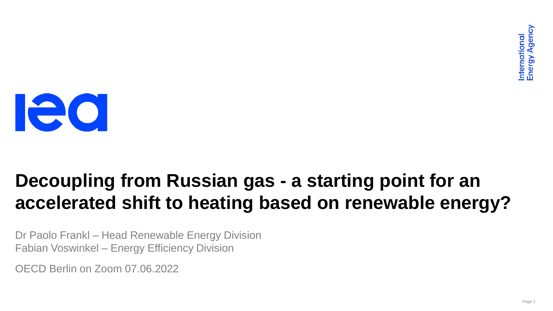# Ieo

# **Decoupling from Russian gas - a starting point for an accelerated shift to heating based on renewable energy?**

Dr Paolo Frankl – Head Renewable Energy Division Fabian Voswinkel – Energy Efficiency Division

OECD Berlin on Zoom 07.06.2022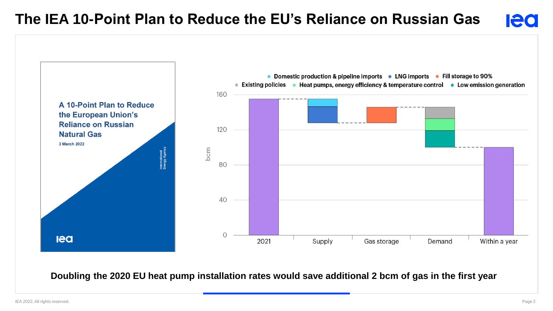# **The IEA 10-Point Plan to Reduce the EU's Reliance on Russian Gas**



#### **Doubling the 2020 EU heat pump installation rates would save additional 2 bcm of gas in the first year**

**lea**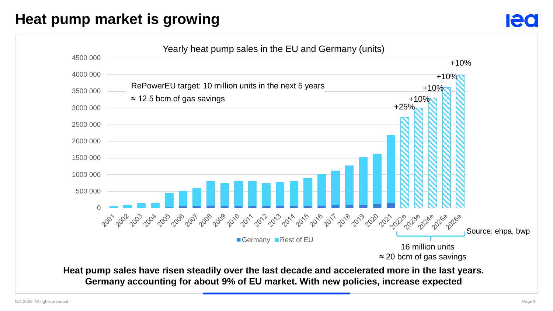# **Heat pump market is growing**



lec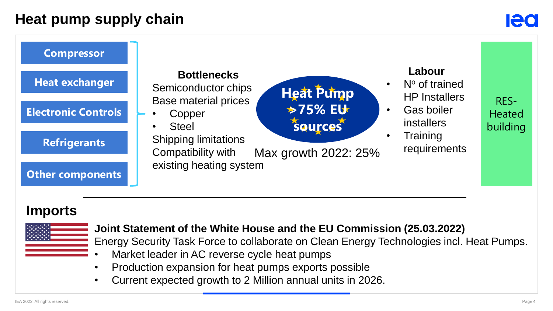# **Heat pump supply chain**



#### **Imports**



#### **Joint Statement of the White House and the EU Commission (25.03.2022)**

Energy Security Task Force to collaborate on Clean Energy Technologies incl. Heat Pumps.

- Market leader in AC reverse cycle heat pumps
- Production expansion for heat pumps exports possible
- Current expected growth to 2 Million annual units in 2026.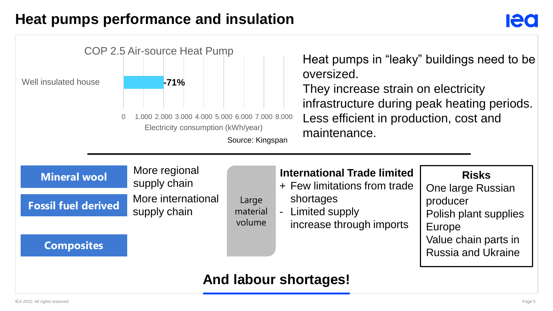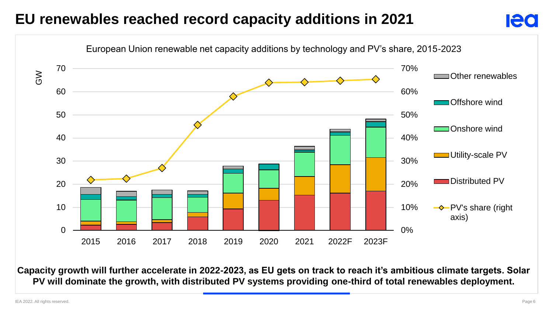# **EU renewables reached record capacity additions in 2021**



**Capacity growth will further accelerate in 2022-2023, as EU gets on track to reach it's ambitious climate targets. Solar PV will dominate the growth, with distributed PV systems providing one-third of total renewables deployment.**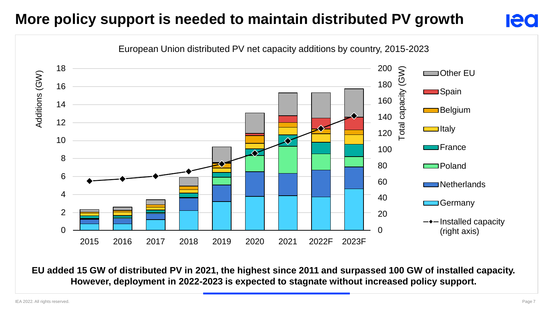# **More policy support is needed to maintain distributed PV growth**



**EU added 15 GW of distributed PV in 2021, the highest since 2011 and surpassed 100 GW of installed capacity. However, deployment in 2022-2023 is expected to stagnate without increased policy support.** 

**Ieo**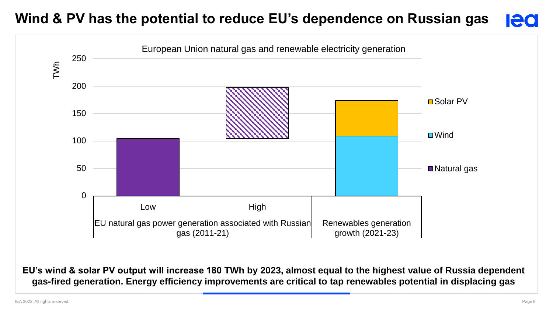# **Wind & PV has the potential to reduce EU's dependence on Russian gas**





**EU's wind & solar PV output will increase 180 TWh by 2023, almost equal to the highest value of Russia dependent gas-fired generation. Energy efficiency improvements are critical to tap renewables potential in displacing gas**